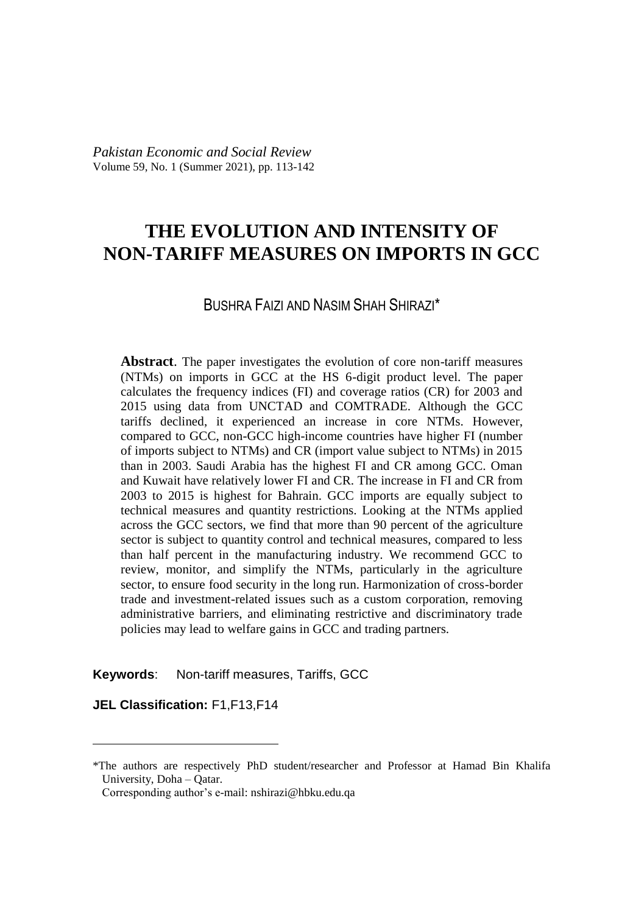# **THE EVOLUTION AND INTENSITY OF NON-TARIFF MEASURES ON IMPORTS IN GCC**

## BUSHRA FAIZI AND NASIM SHAH SHIRAZI\*

**Abstract**. The paper investigates the evolution of core non-tariff measures (NTMs) on imports in GCC at the HS 6-digit product level. The paper calculates the frequency indices (FI) and coverage ratios (CR) for 2003 and 2015 using data from UNCTAD and COMTRADE. Although the GCC tariffs declined, it experienced an increase in core NTMs. However, compared to GCC, non-GCC high-income countries have higher FI (number of imports subject to NTMs) and CR (import value subject to NTMs) in 2015 than in 2003. Saudi Arabia has the highest FI and CR among GCC. Oman and Kuwait have relatively lower FI and CR. The increase in FI and CR from 2003 to 2015 is highest for Bahrain. GCC imports are equally subject to technical measures and quantity restrictions. Looking at the NTMs applied across the GCC sectors, we find that more than 90 percent of the agriculture sector is subject to quantity control and technical measures, compared to less than half percent in the manufacturing industry. We recommend GCC to review, monitor, and simplify the NTMs, particularly in the agriculture sector, to ensure food security in the long run. Harmonization of cross-border trade and investment-related issues such as a custom corporation, removing administrative barriers, and eliminating restrictive and discriminatory trade policies may lead to welfare gains in GCC and trading partners.

**Keywords**: Non-tariff measures, Tariffs, GCC

**JEL Classification:** F1,F13,F14

 $\overline{a}$ 

<sup>\*</sup>The authors are respectively PhD student/researcher and Professor at Hamad Bin Khalifa University, Doha – Qatar.

Corresponding author's e-mail: nshirazi@hbku.edu.qa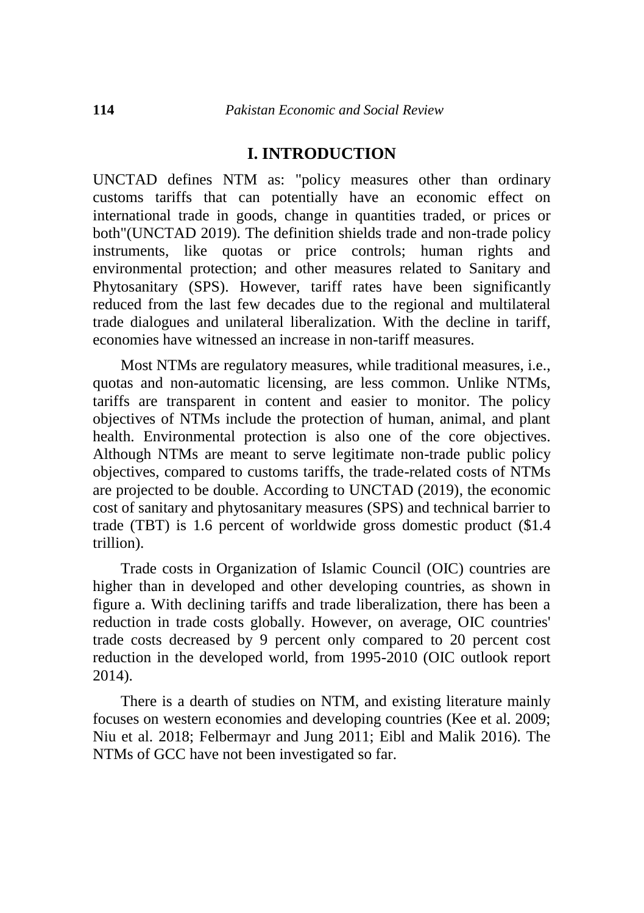### **I. INTRODUCTION**

UNCTAD defines NTM as: "policy measures other than ordinary customs tariffs that can potentially have an economic effect on international trade in goods, change in quantities traded, or prices or both"(UNCTAD 2019). The definition shields trade and non-trade policy instruments, like quotas or price controls; human rights and environmental protection; and other measures related to Sanitary and Phytosanitary (SPS). However, tariff rates have been significantly reduced from the last few decades due to the regional and multilateral trade dialogues and unilateral liberalization. With the decline in tariff, economies have witnessed an increase in non-tariff measures.

Most NTMs are regulatory measures, while traditional measures, i.e., quotas and non-automatic licensing, are less common. Unlike NTMs, tariffs are transparent in content and easier to monitor. The policy objectives of NTMs include the protection of human, animal, and plant health. Environmental protection is also one of the core objectives. Although NTMs are meant to serve legitimate non-trade public policy objectives, compared to customs tariffs, the trade-related costs of NTMs are projected to be double. According to UNCTAD (2019), the economic cost of sanitary and phytosanitary measures (SPS) and technical barrier to trade (TBT) is 1.6 percent of worldwide gross domestic product (\$1.4 trillion).

Trade costs in Organization of Islamic Council (OIC) countries are higher than in developed and other developing countries, as shown in figure a. With declining tariffs and trade liberalization, there has been a reduction in trade costs globally. However, on average, OIC countries' trade costs decreased by 9 percent only compared to 20 percent cost reduction in the developed world, from 1995-2010 (OIC outlook report 2014).

There is a dearth of studies on NTM, and existing literature mainly focuses on western economies and developing countries (Kee et al. 2009; Niu et al. 2018; Felbermayr and Jung 2011; Eibl and Malik 2016). The NTMs of GCC have not been investigated so far.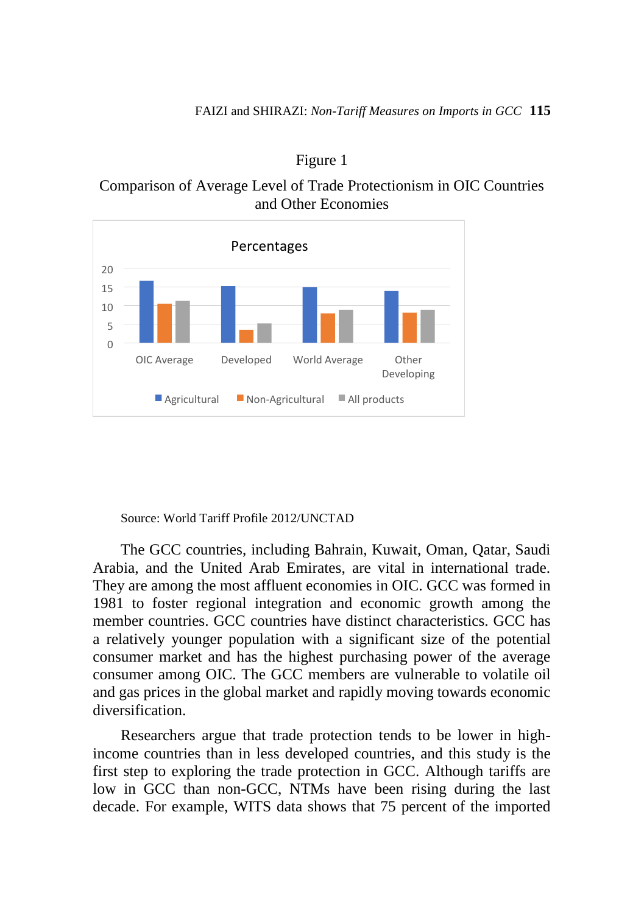

Figure 1

Comparison of Average Level of Trade Protectionism in OIC Countries and Other Economies

Source: World Tariff Profile 2012/UNCTAD

The GCC countries, including Bahrain, Kuwait, Oman, Qatar, Saudi Arabia, and the United Arab Emirates, are vital in international trade. They are among the most affluent economies in OIC. GCC was formed in 1981 to foster regional integration and economic growth among the member countries. GCC countries have distinct characteristics. GCC has a relatively younger population with a significant size of the potential consumer market and has the highest purchasing power of the average consumer among OIC. The GCC members are vulnerable to volatile oil and gas prices in the global market and rapidly moving towards economic diversification.

Researchers argue that trade protection tends to be lower in highincome countries than in less developed countries, and this study is the first step to exploring the trade protection in GCC. Although tariffs are low in GCC than non-GCC, NTMs have been rising during the last decade. For example, WITS data shows that 75 percent of the imported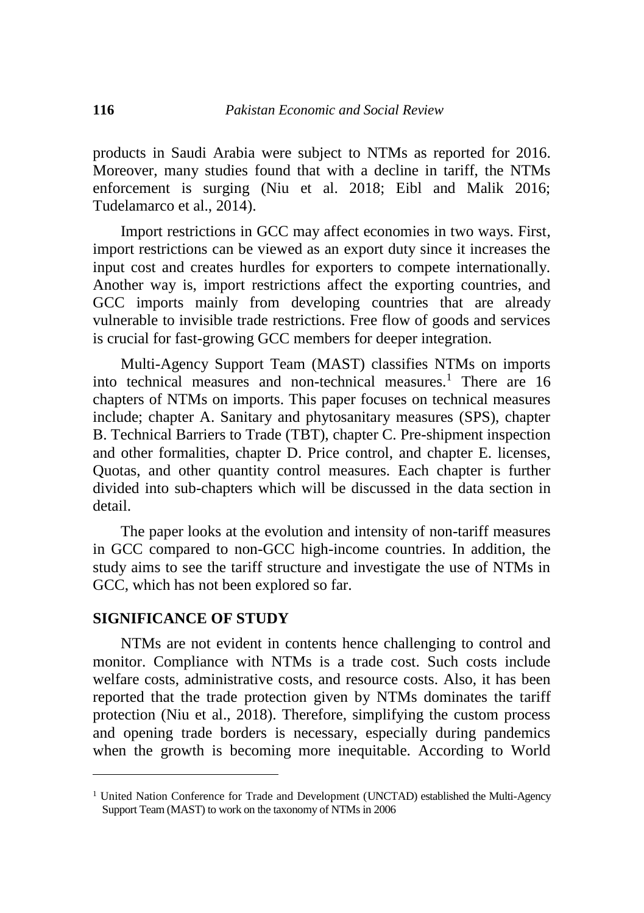products in Saudi Arabia were subject to NTMs as reported for 2016. Moreover, many studies found that with a decline in tariff, the NTMs enforcement is surging (Niu et al. 2018; Eibl and Malik 2016; Tudelamarco et al., 2014).

Import restrictions in GCC may affect economies in two ways. First, import restrictions can be viewed as an export duty since it increases the input cost and creates hurdles for exporters to compete internationally. Another way is, import restrictions affect the exporting countries, and GCC imports mainly from developing countries that are already vulnerable to invisible trade restrictions. Free flow of goods and services is crucial for fast-growing GCC members for deeper integration.

Multi-Agency Support Team (MAST) classifies NTMs on imports into technical measures and non-technical measures.<sup>1</sup> There are 16 chapters of NTMs on imports. This paper focuses on technical measures include; chapter A. Sanitary and phytosanitary measures (SPS), chapter B. Technical Barriers to Trade (TBT), chapter C. Pre-shipment inspection and other formalities, chapter D. Price control, and chapter E. licenses, Quotas, and other quantity control measures. Each chapter is further divided into sub-chapters which will be discussed in the data section in detail.

The paper looks at the evolution and intensity of non-tariff measures in GCC compared to non-GCC high-income countries. In addition, the study aims to see the tariff structure and investigate the use of NTMs in GCC, which has not been explored so far.

#### **SIGNIFICANCE OF STUDY**

 $\overline{a}$ 

NTMs are not evident in contents hence challenging to control and monitor. Compliance with NTMs is a trade cost. Such costs include welfare costs, administrative costs, and resource costs. Also, it has been reported that the trade protection given by NTMs dominates the tariff protection (Niu et al., 2018). Therefore, simplifying the custom process and opening trade borders is necessary, especially during pandemics when the growth is becoming more inequitable. According to World

<sup>&</sup>lt;sup>1</sup> United Nation Conference for Trade and Development (UNCTAD) established the Multi-Agency Support Team (MAST) to work on the taxonomy of NTMs in 2006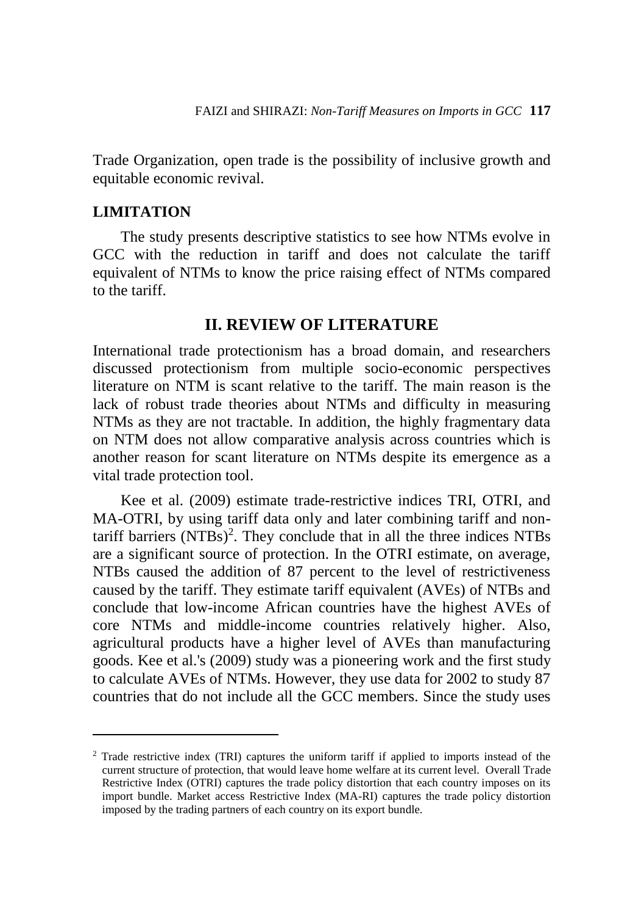Trade Organization, open trade is the possibility of inclusive growth and equitable economic revival.

### **LIMITATION**

 $\overline{a}$ 

The study presents descriptive statistics to see how NTMs evolve in GCC with the reduction in tariff and does not calculate the tariff equivalent of NTMs to know the price raising effect of NTMs compared to the tariff.

## **II. REVIEW OF LITERATURE**

International trade protectionism has a broad domain, and researchers discussed protectionism from multiple socio-economic perspectives literature on NTM is scant relative to the tariff. The main reason is the lack of robust trade theories about NTMs and difficulty in measuring NTMs as they are not tractable. In addition, the highly fragmentary data on NTM does not allow comparative analysis across countries which is another reason for scant literature on NTMs despite its emergence as a vital trade protection tool.

Kee et al. (2009) estimate trade-restrictive indices TRI, OTRI, and MA-OTRI, by using tariff data only and later combining tariff and nontariff barriers  $(NTBs)^2$ . They conclude that in all the three indices NTBs are a significant source of protection. In the OTRI estimate, on average, NTBs caused the addition of 87 percent to the level of restrictiveness caused by the tariff. They estimate tariff equivalent (AVEs) of NTBs and conclude that low-income African countries have the highest AVEs of core NTMs and middle-income countries relatively higher. Also, agricultural products have a higher level of AVEs than manufacturing goods. Kee et al.'s (2009) study was a pioneering work and the first study to calculate AVEs of NTMs. However, they use data for 2002 to study 87 countries that do not include all the GCC members. Since the study uses

<sup>2</sup> Trade restrictive index (TRI) captures the uniform tariff if applied to imports instead of the current structure of protection, that would leave home welfare at its current level. Overall Trade Restrictive Index (OTRI) captures the trade policy distortion that each country imposes on its import bundle. Market access Restrictive Index (MA-RI) captures the trade policy distortion imposed by the trading partners of each country on its export bundle.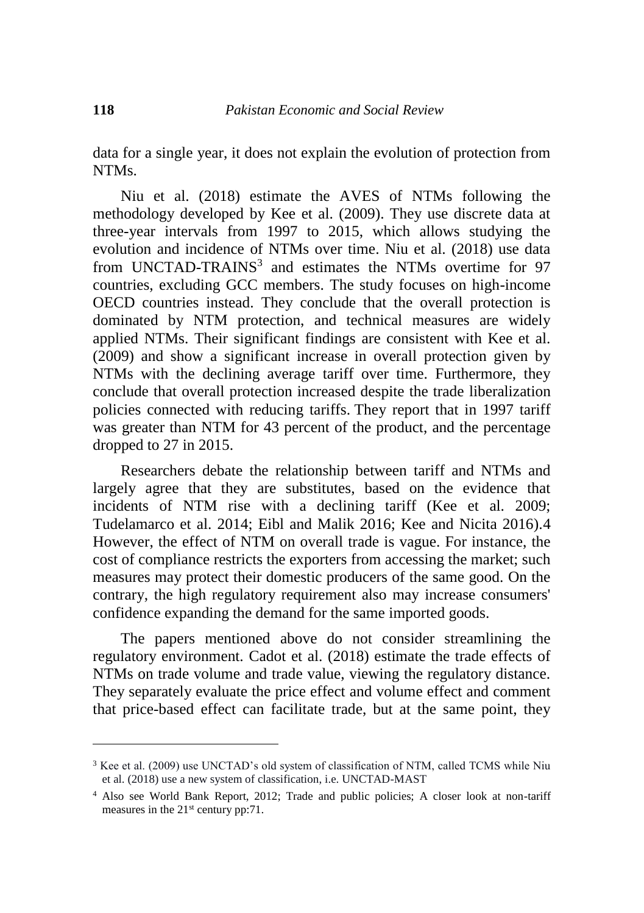data for a single year, it does not explain the evolution of protection from NTMs.

Niu et al. (2018) estimate the AVES of NTMs following the methodology developed by Kee et al. (2009). They use discrete data at three-year intervals from 1997 to 2015, which allows studying the evolution and incidence of NTMs over time. Niu et al. (2018) use data from UNCTAD-TRAINS<sup>3</sup> and estimates the NTMs overtime for 97 countries, excluding GCC members. The study focuses on high-income OECD countries instead. They conclude that the overall protection is dominated by NTM protection, and technical measures are widely applied NTMs. Their significant findings are consistent with Kee et al. (2009) and show a significant increase in overall protection given by NTMs with the declining average tariff over time. Furthermore, they conclude that overall protection increased despite the trade liberalization policies connected with reducing tariffs. They report that in 1997 tariff was greater than NTM for 43 percent of the product, and the percentage dropped to 27 in 2015.

Researchers debate the relationship between tariff and NTMs and largely agree that they are substitutes, based on the evidence that incidents of NTM rise with a declining tariff (Kee et al. 2009; Tudelamarco et al. 2014; Eibl and Malik 2016; Kee and Nicita 2016).4 However, the effect of NTM on overall trade is vague. For instance, the cost of compliance restricts the exporters from accessing the market; such measures may protect their domestic producers of the same good. On the contrary, the high regulatory requirement also may increase consumers' confidence expanding the demand for the same imported goods.

The papers mentioned above do not consider streamlining the regulatory environment. Cadot et al. (2018) estimate the trade effects of NTMs on trade volume and trade value, viewing the regulatory distance. They separately evaluate the price effect and volume effect and comment that price-based effect can facilitate trade, but at the same point, they

 $\overline{a}$ 

<sup>3</sup> Kee et al. (2009) use UNCTAD's old system of classification of NTM, called TCMS while Niu et al. (2018) use a new system of classification, i.e. UNCTAD-MAST

<sup>4</sup> Also see World Bank Report, 2012; Trade and public policies; A closer look at non-tariff measures in the 21<sup>st</sup> century pp:71.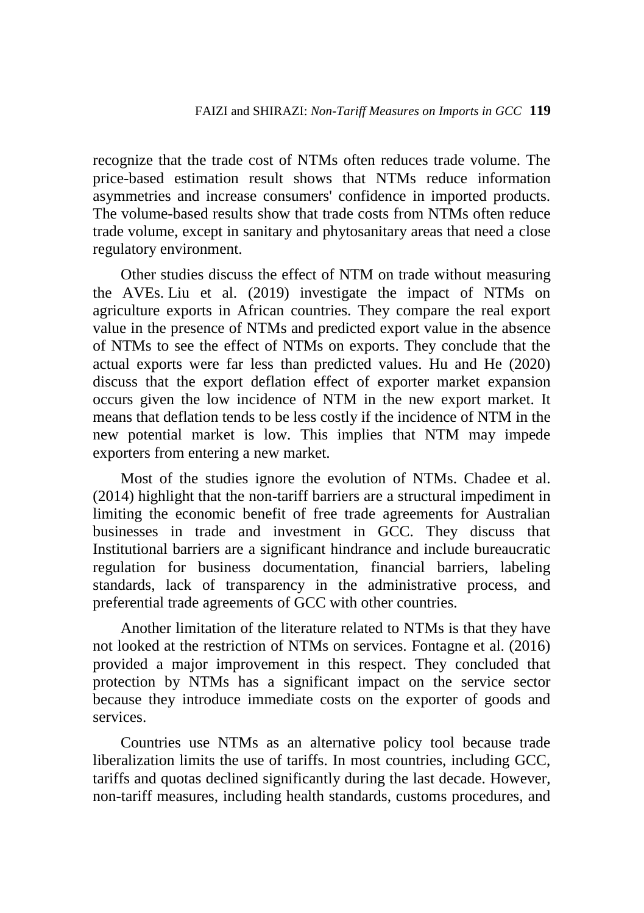recognize that the trade cost of NTMs often reduces trade volume. The price-based estimation result shows that NTMs reduce information asymmetries and increase consumers' confidence in imported products. The volume-based results show that trade costs from NTMs often reduce trade volume, except in sanitary and phytosanitary areas that need a close regulatory environment.

Other studies discuss the effect of NTM on trade without measuring the AVEs. Liu et al. (2019) investigate the impact of NTMs on agriculture exports in African countries. They compare the real export value in the presence of NTMs and predicted export value in the absence of NTMs to see the effect of NTMs on exports. They conclude that the actual exports were far less than predicted values. Hu and He (2020) discuss that the export deflation effect of exporter market expansion occurs given the low incidence of NTM in the new export market. It means that deflation tends to be less costly if the incidence of NTM in the new potential market is low. This implies that NTM may impede exporters from entering a new market.

Most of the studies ignore the evolution of NTMs. Chadee et al. (2014) highlight that the non-tariff barriers are a structural impediment in limiting the economic benefit of free trade agreements for Australian businesses in trade and investment in GCC. They discuss that Institutional barriers are a significant hindrance and include bureaucratic regulation for business documentation, financial barriers, labeling standards, lack of transparency in the administrative process, and preferential trade agreements of GCC with other countries.

Another limitation of the literature related to NTMs is that they have not looked at the restriction of NTMs on services. Fontagne et al. (2016) provided a major improvement in this respect. They concluded that protection by NTMs has a significant impact on the service sector because they introduce immediate costs on the exporter of goods and services.

Countries use NTMs as an alternative policy tool because trade liberalization limits the use of tariffs. In most countries, including GCC, tariffs and quotas declined significantly during the last decade. However, non-tariff measures, including health standards, customs procedures, and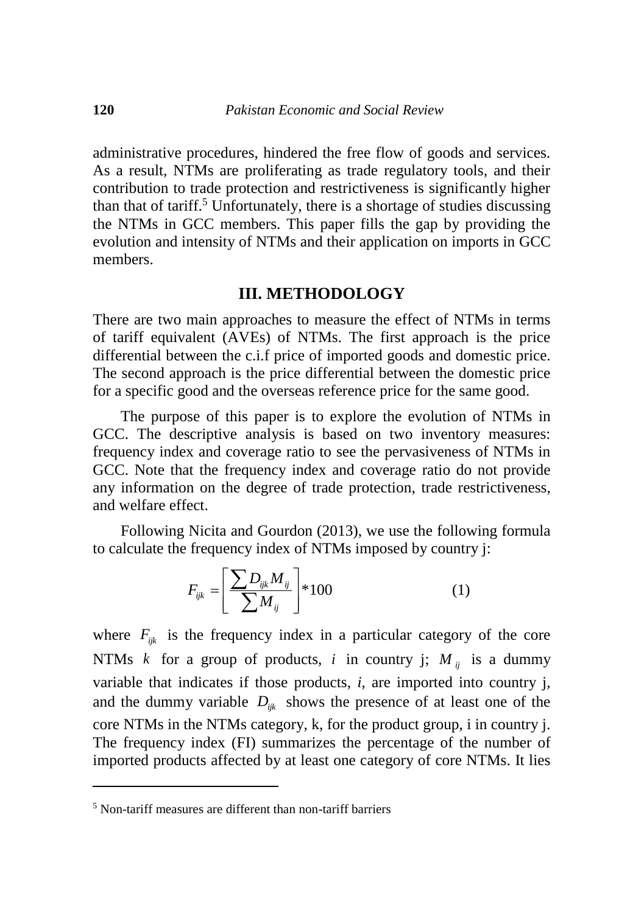administrative procedures, hindered the free flow of goods and services. As a result, NTMs are proliferating as trade regulatory tools, and their contribution to trade protection and restrictiveness is significantly higher than that of tariff.<sup>5</sup> Unfortunately, there is a shortage of studies discussing the NTMs in GCC members. This paper fills the gap by providing the evolution and intensity of NTMs and their application on imports in GCC members.

### **III. METHODOLOGY**

There are two main approaches to measure the effect of NTMs in terms of tariff equivalent (AVEs) of NTMs. The first approach is the price differential between the c.i.f price of imported goods and domestic price. The second approach is the price differential between the domestic price for a specific good and the overseas reference price for the same good.

The purpose of this paper is to explore the evolution of NTMs in GCC. The descriptive analysis is based on two inventory measures: frequency index and coverage ratio to see the pervasiveness of NTMs in GCC. Note that the frequency index and coverage ratio do not provide any information on the degree of trade protection, trade restrictiveness, and welfare effect.

Following Nicita and Gourdon (2013), we use the following formula to calculate the frequency index of NTMs imposed by country j:

$$
F_{ijk} = \left[\frac{\sum D_{ijk} M_{ij}}{\sum M_{ij}}\right] * 100\tag{1}
$$

where  $F_{ijk}$  is the frequency index in a particular category of the core NTMs *k* for a group of products, *i* in country j;  $M_{ij}$  is a dummy variable that indicates if those products, *i*, are imported into country j, and the dummy variable  $D_{ijk}$  shows the presence of at least one of the core NTMs in the NTMs category, k, for the product group, i in country j. The frequency index (FI) summarizes the percentage of the number of imported products affected by at least one category of core NTMs. It lies

 $\overline{a}$ 

<sup>5</sup> Non-tariff measures are different than non-tariff barriers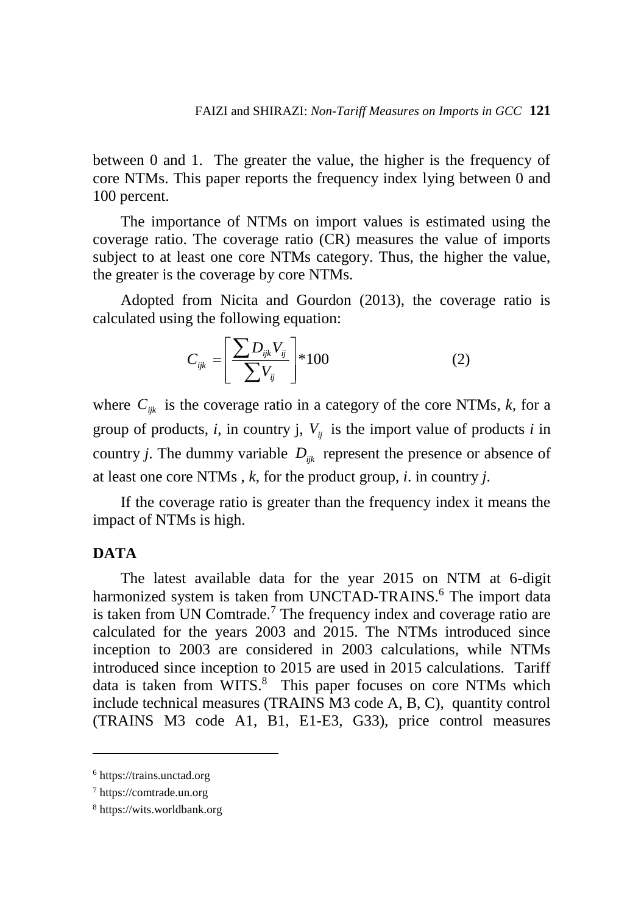between 0 and 1. The greater the value, the higher is the frequency of core NTMs. This paper reports the frequency index lying between 0 and 100 percent.

The importance of NTMs on import values is estimated using the coverage ratio. The coverage ratio (CR) measures the value of imports subject to at least one core NTMs category. Thus, the higher the value, the greater is the coverage by core NTMs.

Adopted from Nicita and Gourdon (2013), the coverage ratio is calculated using the following equation:

$$
C_{ijk} = \left[\frac{\sum D_{ijk} V_{ij}}{\sum V_{ij}}\right] * 100
$$
 (2)

where  $C_{ijk}$  is the coverage ratio in a category of the core NTMs,  $k$ , for a group of products, *i*, in country j,  $V_{ij}$  is the import value of products *i* in country *j*. The dummy variable  $D_{ijk}$  represent the presence or absence of at least one core NTMs , *k*, for the product group, *i*. in country *j*.

If the coverage ratio is greater than the frequency index it means the impact of NTMs is high.

## **DATA**

 $\overline{a}$ 

The latest available data for the year 2015 on NTM at 6-digit harmonized system is taken from UNCTAD-TRAINS.<sup>6</sup> The import data is taken from UN Comtrade.<sup>7</sup> The frequency index and coverage ratio are calculated for the years 2003 and 2015. The NTMs introduced since inception to 2003 are considered in 2003 calculations, while NTMs introduced since inception to 2015 are used in 2015 calculations. Tariff data is taken from WITS.<sup>8</sup> This paper focuses on core NTMs which include technical measures (TRAINS M3 code A, B, C), quantity control (TRAINS M3 code A1, B1, E1-E3, G33), price control measures

<sup>6</sup> https://trains.unctad.org

<sup>7</sup> https://comtrade.un.org

<sup>8</sup> https://wits.worldbank.org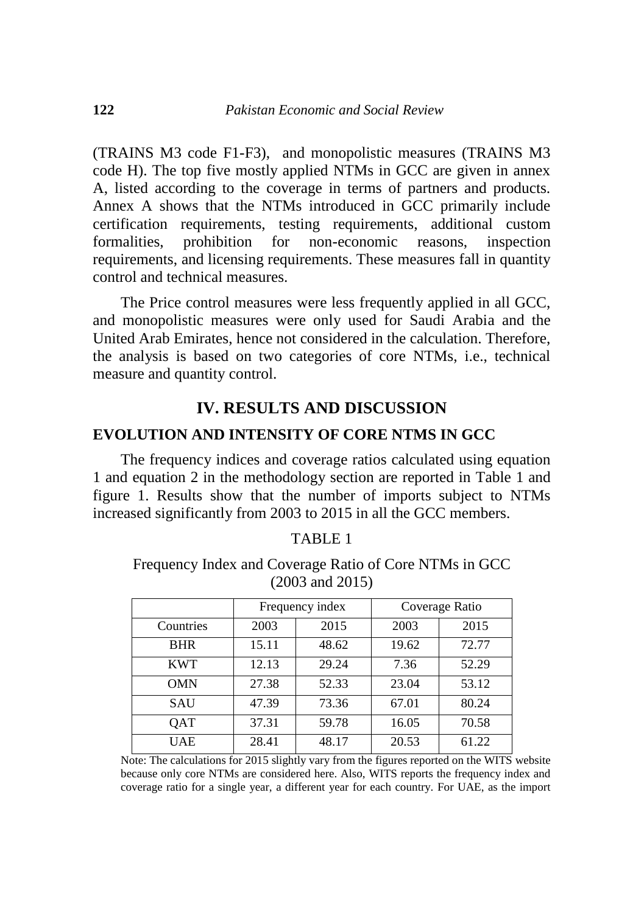(TRAINS M3 code F1-F3), and monopolistic measures (TRAINS M3 code H). The top five mostly applied NTMs in GCC are given in annex A, listed according to the coverage in terms of partners and products. Annex A shows that the NTMs introduced in GCC primarily include certification requirements, testing requirements, additional custom formalities, prohibition for non-economic reasons, inspection requirements, and licensing requirements. These measures fall in quantity control and technical measures.

The Price control measures were less frequently applied in all GCC, and monopolistic measures were only used for Saudi Arabia and the United Arab Emirates, hence not considered in the calculation. Therefore, the analysis is based on two categories of core NTMs, i.e., technical measure and quantity control.

## **IV. RESULTS AND DISCUSSION**

### **EVOLUTION AND INTENSITY OF CORE NTMS IN GCC**

The frequency indices and coverage ratios calculated using equation 1 and equation 2 in the methodology section are reported in Table 1 and figure 1. Results show that the number of imports subject to NTMs increased significantly from 2003 to 2015 in all the GCC members.

| <b>D</b><br>ADL |  |
|-----------------|--|
|-----------------|--|

Frequency Index and Coverage Ratio of Core NTMs in GCC (2003 and 2015)

|            |       | Frequency index |       | Coverage Ratio |
|------------|-------|-----------------|-------|----------------|
| Countries  | 2003  | 2015            | 2003  | 2015           |
| <b>BHR</b> | 15.11 | 48.62           | 19.62 | 72.77          |
| <b>KWT</b> | 12.13 | 29.24           | 7.36  | 52.29          |
| <b>OMN</b> | 27.38 | 52.33           | 23.04 | 53.12          |
| SAU        | 47.39 | 73.36           | 67.01 | 80.24          |
| QAT        | 37.31 | 59.78           | 16.05 | 70.58          |
| UAE        | 28.41 | 48.17           | 20.53 | 61.22          |

Note: The calculations for 2015 slightly vary from the figures reported on the WITS website because only core NTMs are considered here. Also, WITS reports the frequency index and coverage ratio for a single year, a different year for each country. For UAE, as the import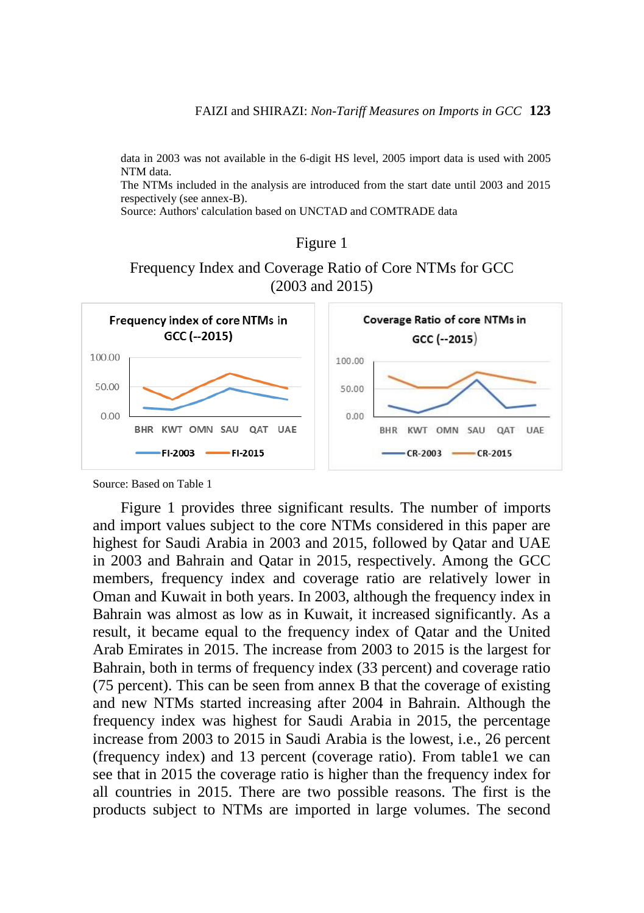data in 2003 was not available in the 6-digit HS level, 2005 import data is used with 2005 NTM data.

The NTMs included in the analysis are introduced from the start date until 2003 and 2015 respectively (see annex-B).

Source: Authors' calculation based on UNCTAD and COMTRADE data

#### Figure 1





Source: Based on Table 1

Figure 1 provides three significant results. The number of imports and import values subject to the core NTMs considered in this paper are highest for Saudi Arabia in 2003 and 2015, followed by Qatar and UAE in 2003 and Bahrain and Qatar in 2015, respectively. Among the GCC members, frequency index and coverage ratio are relatively lower in Oman and Kuwait in both years. In 2003, although the frequency index in Bahrain was almost as low as in Kuwait, it increased significantly. As a result, it became equal to the frequency index of Qatar and the United Arab Emirates in 2015. The increase from 2003 to 2015 is the largest for Bahrain, both in terms of frequency index (33 percent) and coverage ratio (75 percent). This can be seen from annex B that the coverage of existing and new NTMs started increasing after 2004 in Bahrain. Although the frequency index was highest for Saudi Arabia in 2015, the percentage increase from 2003 to 2015 in Saudi Arabia is the lowest, i.e., 26 percent (frequency index) and 13 percent (coverage ratio). From table1 we can see that in 2015 the coverage ratio is higher than the frequency index for all countries in 2015. There are two possible reasons. The first is the products subject to NTMs are imported in large volumes. The second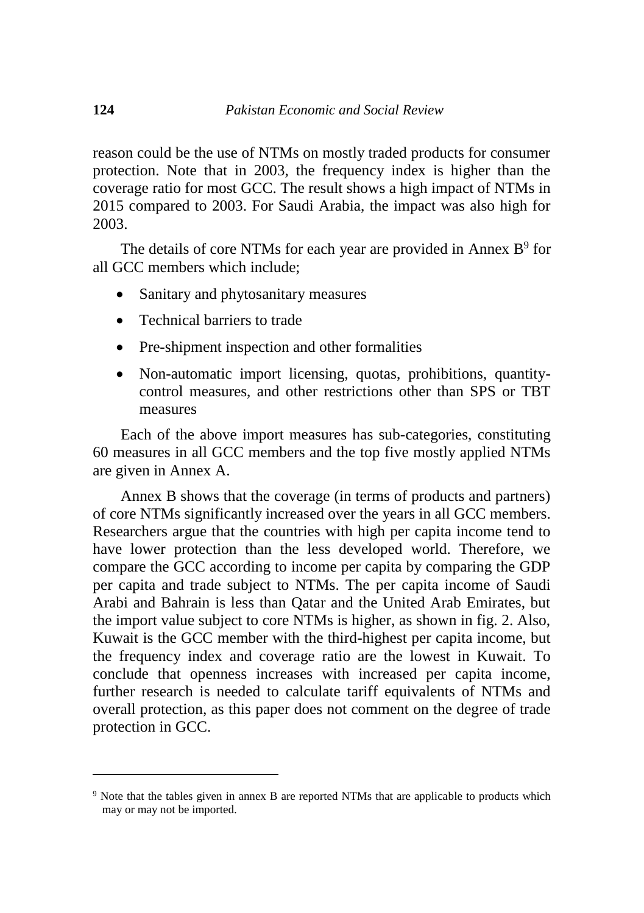reason could be the use of NTMs on mostly traded products for consumer protection. Note that in 2003, the frequency index is higher than the coverage ratio for most GCC. The result shows a high impact of NTMs in 2015 compared to 2003. For Saudi Arabia, the impact was also high for 2003.

The details of core NTMs for each year are provided in Annex  $B^9$  for all GCC members which include;

- Sanitary and phytosanitary measures
- Technical barriers to trade
- Pre-shipment inspection and other formalities
- Non-automatic import licensing, quotas, prohibitions, quantitycontrol measures, and other restrictions other than SPS or TBT measures

Each of the above import measures has sub-categories, constituting 60 measures in all GCC members and the top five mostly applied NTMs are given in Annex A.

Annex B shows that the coverage (in terms of products and partners) of core NTMs significantly increased over the years in all GCC members. Researchers argue that the countries with high per capita income tend to have lower protection than the less developed world. Therefore, we compare the GCC according to income per capita by comparing the GDP per capita and trade subject to NTMs. The per capita income of Saudi Arabi and Bahrain is less than Qatar and the United Arab Emirates, but the import value subject to core NTMs is higher, as shown in fig. 2. Also, Kuwait is the GCC member with the third-highest per capita income, but the frequency index and coverage ratio are the lowest in Kuwait. To conclude that openness increases with increased per capita income, further research is needed to calculate tariff equivalents of NTMs and overall protection, as this paper does not comment on the degree of trade protection in GCC.

 $\overline{a}$ 

<sup>9</sup> Note that the tables given in annex B are reported NTMs that are applicable to products which may or may not be imported.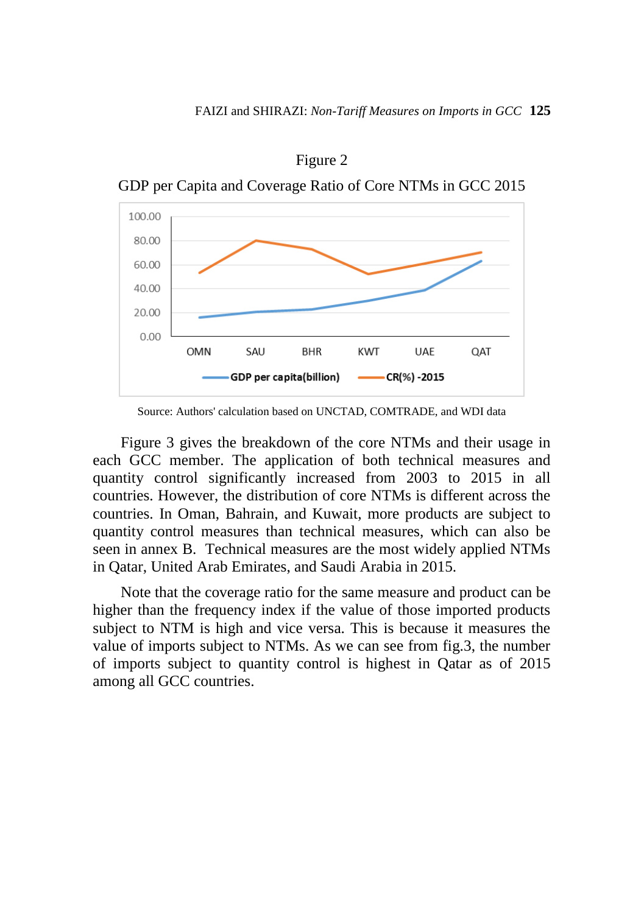

Figure 2

Source: Authors' calculation based on UNCTAD, COMTRADE, and WDI data

Figure 3 gives the breakdown of the core NTMs and their usage in each GCC member. The application of both technical measures and quantity control significantly increased from 2003 to 2015 in all countries. However, the distribution of core NTMs is different across the countries. In Oman, Bahrain, and Kuwait, more products are subject to quantity control measures than technical measures, which can also be seen in annex B. Technical measures are the most widely applied NTMs in Qatar, United Arab Emirates, and Saudi Arabia in 2015.

Note that the coverage ratio for the same measure and product can be higher than the frequency index if the value of those imported products subject to NTM is high and vice versa. This is because it measures the value of imports subject to NTMs. As we can see from fig.3, the number of imports subject to quantity control is highest in Qatar as of 2015 among all GCC countries.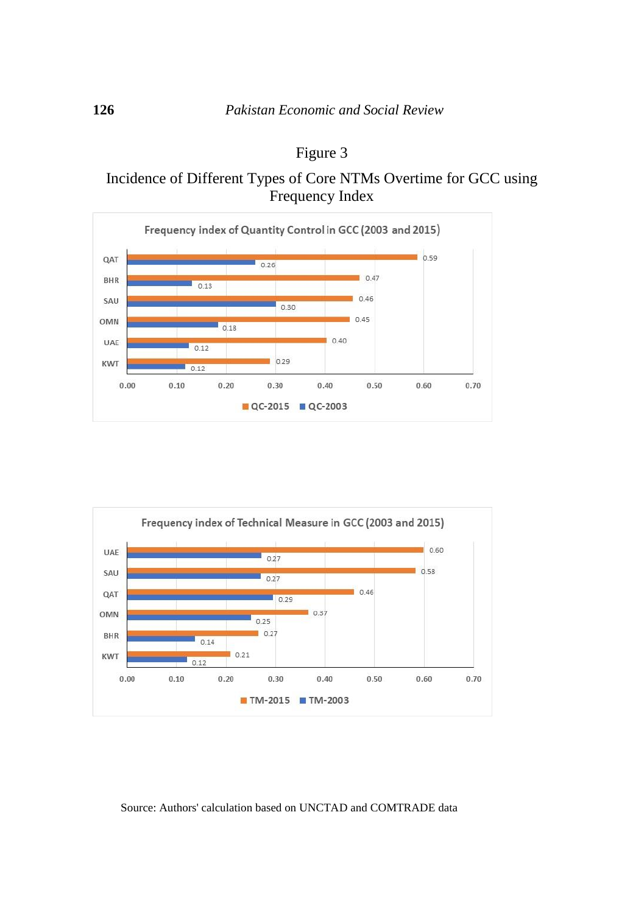

## Figure 3

Incidence of Different Types of Core NTMs Overtime for GCC using Frequency Index



#### Source: Authors' calculation based on UNCTAD and COMTRADE data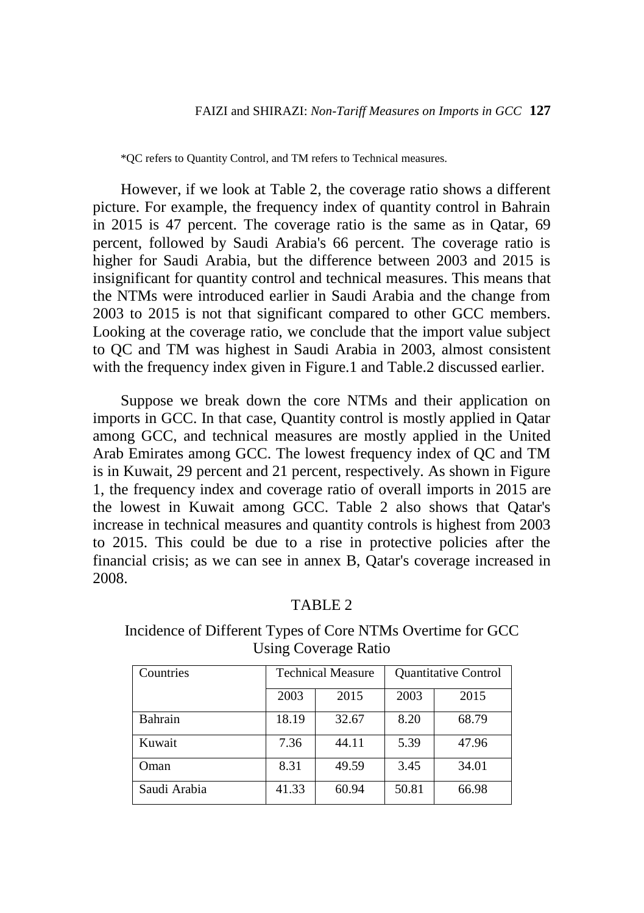\*QC refers to Quantity Control, and TM refers to Technical measures.

However, if we look at Table 2, the coverage ratio shows a different picture. For example, the frequency index of quantity control in Bahrain in 2015 is 47 percent. The coverage ratio is the same as in Qatar, 69 percent, followed by Saudi Arabia's 66 percent. The coverage ratio is higher for Saudi Arabia, but the difference between 2003 and 2015 is insignificant for quantity control and technical measures. This means that the NTMs were introduced earlier in Saudi Arabia and the change from 2003 to 2015 is not that significant compared to other GCC members. Looking at the coverage ratio, we conclude that the import value subject to QC and TM was highest in Saudi Arabia in 2003, almost consistent with the frequency index given in Figure.1 and Table.2 discussed earlier.

Suppose we break down the core NTMs and their application on imports in GCC. In that case, Quantity control is mostly applied in Qatar among GCC, and technical measures are mostly applied in the United Arab Emirates among GCC. The lowest frequency index of QC and TM is in Kuwait, 29 percent and 21 percent, respectively. As shown in Figure 1, the frequency index and coverage ratio of overall imports in 2015 are the lowest in Kuwait among GCC. Table 2 also shows that Qatar's increase in technical measures and quantity controls is highest from 2003 to 2015. This could be due to a rise in protective policies after the financial crisis; as we can see in annex B, Qatar's coverage increased in 2008.

#### TABLE 2

Incidence of Different Types of Core NTMs Overtime for GCC Using Coverage Ratio

| Countries    | <b>Technical Measure</b> |       | <b>Quantitative Control</b> |       |
|--------------|--------------------------|-------|-----------------------------|-------|
|              | 2003                     | 2015  | 2003                        | 2015  |
| Bahrain      | 18.19                    | 32.67 | 8.20                        | 68.79 |
| Kuwait       | 7.36                     | 44.11 | 5.39                        | 47.96 |
| Oman         | 8.31                     | 49.59 | 3.45                        | 34.01 |
| Saudi Arabia | 41.33                    | 60.94 | 50.81                       | 66.98 |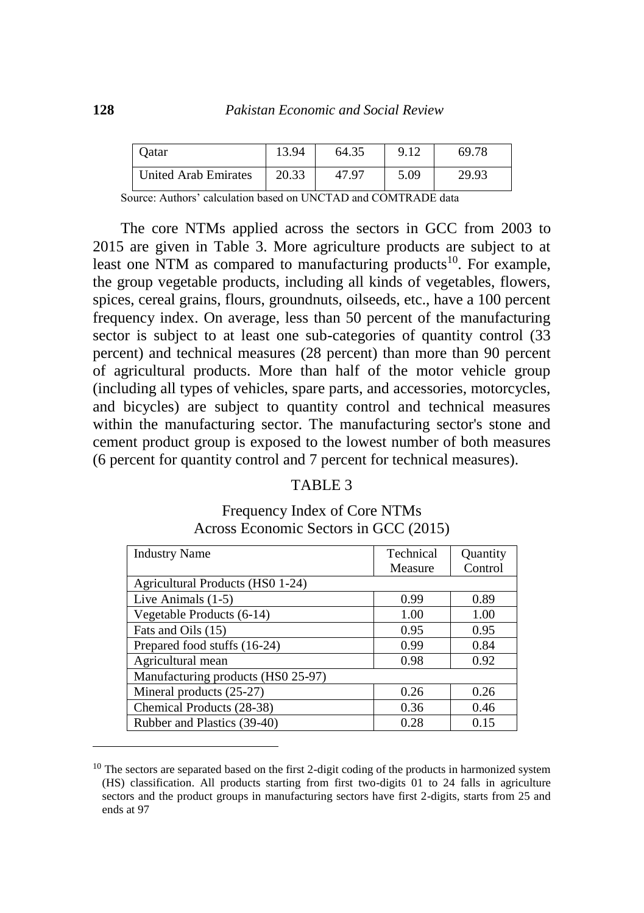| Datar                | 13.94 | 64.35 |      | 69.78 |
|----------------------|-------|-------|------|-------|
| United Arab Emirates | 20.33 | 47.97 | 5.09 | 29.93 |

Source: Authors' calculation based on UNCTAD and COMTRADE data

The core NTMs applied across the sectors in GCC from 2003 to 2015 are given in Table 3. More agriculture products are subject to at least one NTM as compared to manufacturing products<sup>10</sup>. For example, the group vegetable products, including all kinds of vegetables, flowers, spices, cereal grains, flours, groundnuts, oilseeds, etc., have a 100 percent frequency index. On average, less than 50 percent of the manufacturing sector is subject to at least one sub-categories of quantity control  $(33)$ percent) and technical measures (28 percent) than more than 90 percent of agricultural products. More than half of the motor vehicle group (including all types of vehicles, spare parts, and accessories, motorcycles, and bicycles) are subject to quantity control and technical measures within the manufacturing sector. The manufacturing sector's stone and cement product group is exposed to the lowest number of both measures (6 percent for quantity control and 7 percent for technical measures).

#### TABLE 3

Industry Name Technical Measure **Quantity** Control Agricultural Products (HS0 1-24) Live Animals  $(1-5)$  0.99 0.89 Vegetable Products  $(6-14)$  1.00 1.00 Fats and Oils (15) 0.95 0.95 Prepared food stuffs  $(16-24)$  0.99 0.84 Agricultural mean  $0.98$  0.92 Manufacturing products (HS0 25-97) Mineral products (25-27) 0.26 0.26 0.26 Chemical Products (28-38) 0.36 0.46 Rubber and Plastics (39-40) 0.28 0.15

Frequency Index of Core NTMs Across Economic Sectors in GCC (2015)

 $\overline{a}$ 

 $10$  The sectors are separated based on the first 2-digit coding of the products in harmonized system (HS) classification. All products starting from first two-digits 01 to 24 falls in agriculture sectors and the product groups in manufacturing sectors have first 2-digits, starts from 25 and ends at 97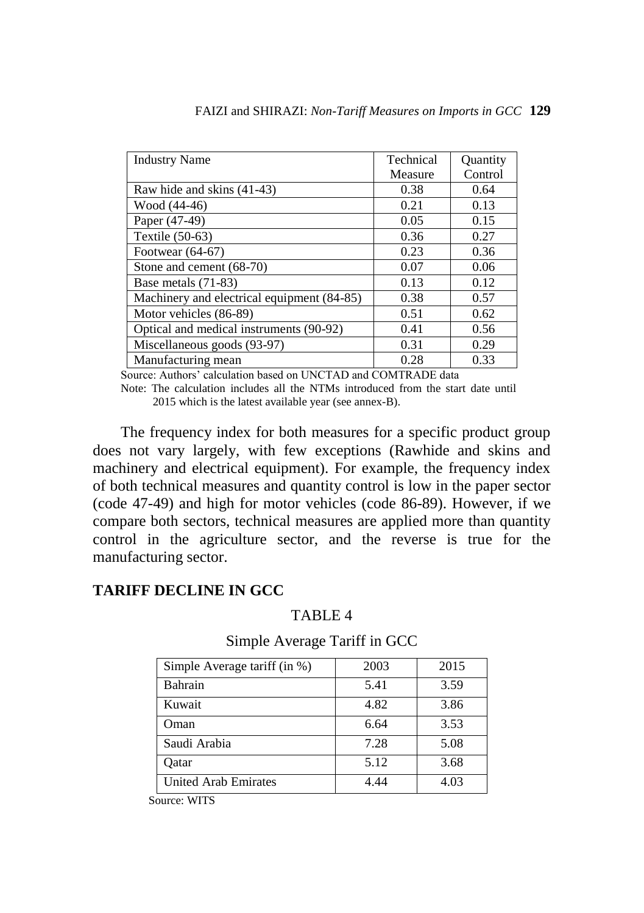| <b>Industry Name</b>                       | Technical | <b>Ouantity</b> |
|--------------------------------------------|-----------|-----------------|
|                                            | Measure   | Control         |
| Raw hide and skins (41-43)                 | 0.38      | 0.64            |
| Wood (44-46)                               | 0.21      | 0.13            |
| Paper (47-49)                              | 0.05      | 0.15            |
| Textile (50-63)                            | 0.36      | 0.27            |
| Footwear $(64-67)$                         | 0.23      | 0.36            |
| Stone and cement (68-70)                   | 0.07      | 0.06            |
| Base metals (71-83)                        | 0.13      | 0.12            |
| Machinery and electrical equipment (84-85) | 0.38      | 0.57            |
| Motor vehicles (86-89)                     | 0.51      | 0.62            |
| Optical and medical instruments (90-92)    | 0.41      | 0.56            |
| Miscellaneous goods (93-97)                | 0.31      | 0.29            |
| Manufacturing mean                         | 0.28      | 0.33            |

Source: Authors' calculation based on UNCTAD and COMTRADE data

Note: The calculation includes all the NTMs introduced from the start date until 2015 which is the latest available year (see annex-B).

The frequency index for both measures for a specific product group does not vary largely, with few exceptions (Rawhide and skins and machinery and electrical equipment). For example, the frequency index of both technical measures and quantity control is low in the paper sector (code 47-49) and high for motor vehicles (code 86-89). However, if we compare both sectors, technical measures are applied more than quantity control in the agriculture sector, and the reverse is true for the manufacturing sector.

## **TARIFF DECLINE IN GCC**

## TABLE 4

## Simple Average Tariff in GCC

| 2003 | 2015 |
|------|------|
| 5.41 | 3.59 |
| 4.82 | 3.86 |
| 6.64 | 3.53 |
| 7.28 | 5.08 |
| 5.12 | 3.68 |
| 4.44 | 4.03 |
|      |      |

Source: WITS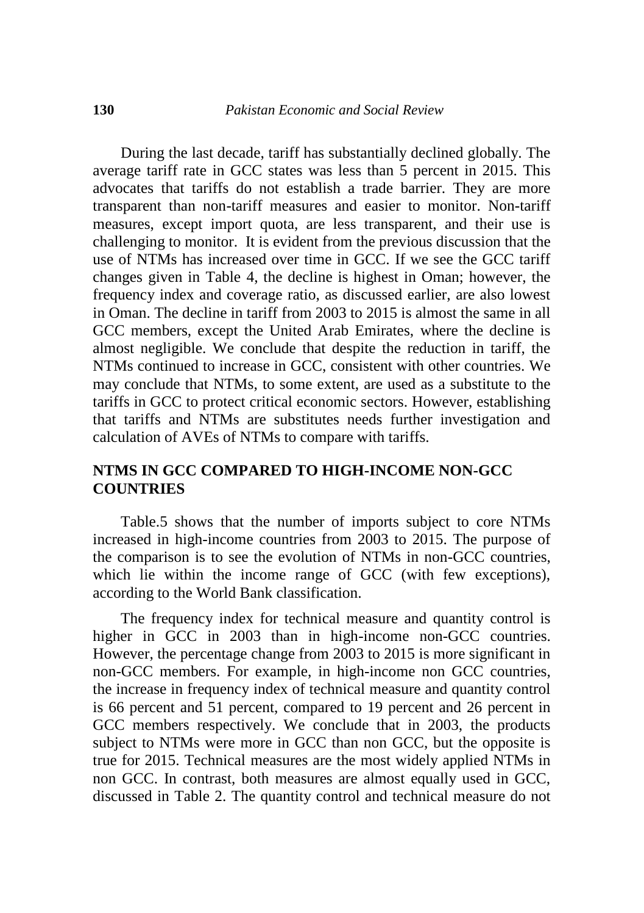During the last decade, tariff has substantially declined globally. The average tariff rate in GCC states was less than 5 percent in 2015. This advocates that tariffs do not establish a trade barrier. They are more transparent than non-tariff measures and easier to monitor. Non-tariff measures, except import quota, are less transparent, and their use is challenging to monitor. It is evident from the previous discussion that the use of NTMs has increased over time in GCC. If we see the GCC tariff changes given in Table 4, the decline is highest in Oman; however, the frequency index and coverage ratio, as discussed earlier, are also lowest in Oman. The decline in tariff from 2003 to 2015 is almost the same in all GCC members, except the United Arab Emirates, where the decline is almost negligible. We conclude that despite the reduction in tariff, the NTMs continued to increase in GCC, consistent with other countries. We may conclude that NTMs, to some extent, are used as a substitute to the tariffs in GCC to protect critical economic sectors. However, establishing that tariffs and NTMs are substitutes needs further investigation and calculation of AVEs of NTMs to compare with tariffs.

### **NTMS IN GCC COMPARED TO HIGH-INCOME NON-GCC COUNTRIES**

Table.5 shows that the number of imports subject to core NTMs increased in high-income countries from 2003 to 2015. The purpose of the comparison is to see the evolution of NTMs in non-GCC countries, which lie within the income range of GCC (with few exceptions), according to the World Bank classification.

The frequency index for technical measure and quantity control is higher in GCC in 2003 than in high-income non-GCC countries. However, the percentage change from 2003 to 2015 is more significant in non-GCC members. For example, in high-income non GCC countries, the increase in frequency index of technical measure and quantity control is 66 percent and 51 percent, compared to 19 percent and 26 percent in GCC members respectively. We conclude that in 2003, the products subject to NTMs were more in GCC than non GCC, but the opposite is true for 2015. Technical measures are the most widely applied NTMs in non GCC. In contrast, both measures are almost equally used in GCC, discussed in Table 2. The quantity control and technical measure do not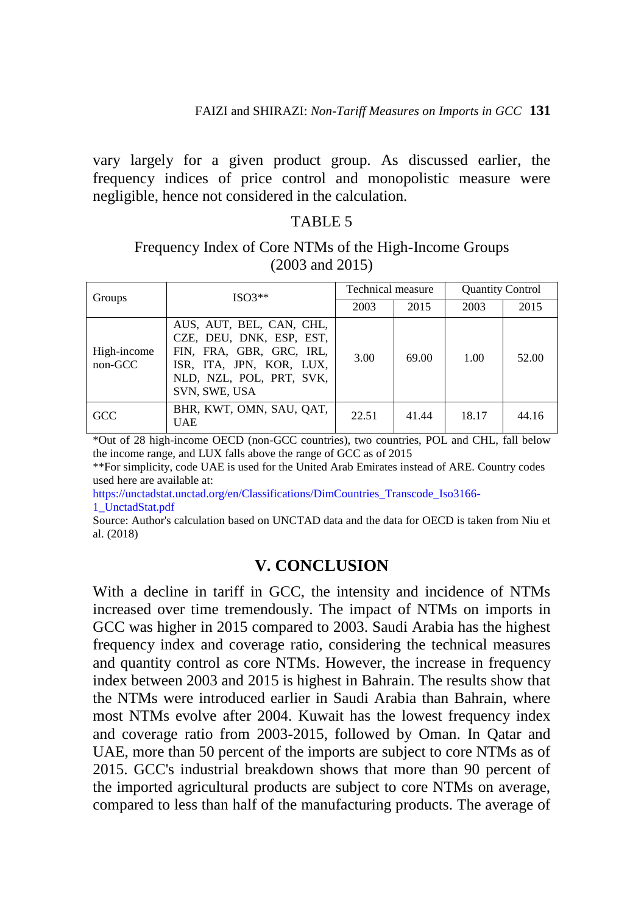vary largely for a given product group. As discussed earlier, the frequency indices of price control and monopolistic measure were negligible, hence not considered in the calculation.

### TABLE 5

## Frequency Index of Core NTMs of the High-Income Groups (2003 and 2015)

| Groups                 | $ISO3**$                                                                                                                                                  | Technical measure |       | <b>Quantity Control</b> |       |
|------------------------|-----------------------------------------------------------------------------------------------------------------------------------------------------------|-------------------|-------|-------------------------|-------|
|                        |                                                                                                                                                           | 2003              | 2015  | 2003                    | 2015  |
| High-income<br>non-GCC | AUS, AUT, BEL, CAN, CHL,<br>CZE, DEU, DNK, ESP, EST,<br>FIN, FRA, GBR, GRC, IRL,<br>ISR, ITA, JPN, KOR, LUX,<br>NLD, NZL, POL, PRT, SVK,<br>SVN, SWE, USA | 3.00              | 69.00 | 1.00                    | 52.00 |
| GCC                    | BHR, KWT, OMN, SAU, OAT,<br><b>UAE</b>                                                                                                                    | 22.51             | 41.44 | 18.17                   | 44.16 |

\*Out of 28 high-income OECD (non-GCC countries), two countries, POL and CHL, fall below the income range, and LUX falls above the range of GCC as of 2015

\*\*For simplicity, code UAE is used for the United Arab Emirates instead of ARE. Country codes used here are available at:

[https://unctadstat.unctad.org/en/Classifications/DimCountries\\_Transcode\\_Iso3166-](https://unctadstat.unctad.org/en/Classifications/DimCountries_Transcode_Iso3166-1_UnctadStat.pdf) [1\\_UnctadStat.pdf](https://unctadstat.unctad.org/en/Classifications/DimCountries_Transcode_Iso3166-1_UnctadStat.pdf)

Source: Author's calculation based on UNCTAD data and the data for OECD is taken from Niu et al. (2018)

## **V. CONCLUSION**

With a decline in tariff in GCC, the intensity and incidence of NTMs increased over time tremendously. The impact of NTMs on imports in GCC was higher in 2015 compared to 2003. Saudi Arabia has the highest frequency index and coverage ratio, considering the technical measures and quantity control as core NTMs. However, the increase in frequency index between 2003 and 2015 is highest in Bahrain. The results show that the NTMs were introduced earlier in Saudi Arabia than Bahrain, where most NTMs evolve after 2004. Kuwait has the lowest frequency index and coverage ratio from 2003-2015, followed by Oman. In Qatar and UAE, more than 50 percent of the imports are subject to core NTMs as of 2015. GCC's industrial breakdown shows that more than 90 percent of the imported agricultural products are subject to core NTMs on average, compared to less than half of the manufacturing products. The average of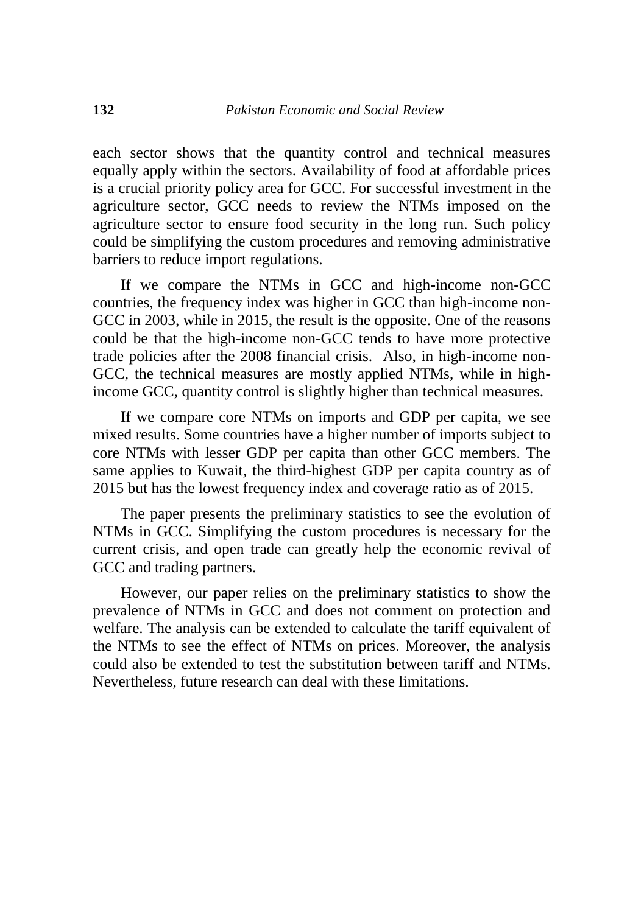each sector shows that the quantity control and technical measures equally apply within the sectors. Availability of food at affordable prices is a crucial priority policy area for GCC. For successful investment in the agriculture sector, GCC needs to review the NTMs imposed on the agriculture sector to ensure food security in the long run. Such policy could be simplifying the custom procedures and removing administrative barriers to reduce import regulations.

If we compare the NTMs in GCC and high-income non-GCC countries, the frequency index was higher in GCC than high-income non-GCC in 2003, while in 2015, the result is the opposite. One of the reasons could be that the high-income non-GCC tends to have more protective trade policies after the 2008 financial crisis. Also, in high-income non-GCC, the technical measures are mostly applied NTMs, while in highincome GCC, quantity control is slightly higher than technical measures.

If we compare core NTMs on imports and GDP per capita, we see mixed results. Some countries have a higher number of imports subject to core NTMs with lesser GDP per capita than other GCC members. The same applies to Kuwait, the third-highest GDP per capita country as of 2015 but has the lowest frequency index and coverage ratio as of 2015.

The paper presents the preliminary statistics to see the evolution of NTMs in GCC. Simplifying the custom procedures is necessary for the current crisis, and open trade can greatly help the economic revival of GCC and trading partners.

However, our paper relies on the preliminary statistics to show the prevalence of NTMs in GCC and does not comment on protection and welfare. The analysis can be extended to calculate the tariff equivalent of the NTMs to see the effect of NTMs on prices. Moreover, the analysis could also be extended to test the substitution between tariff and NTMs. Nevertheless, future research can deal with these limitations.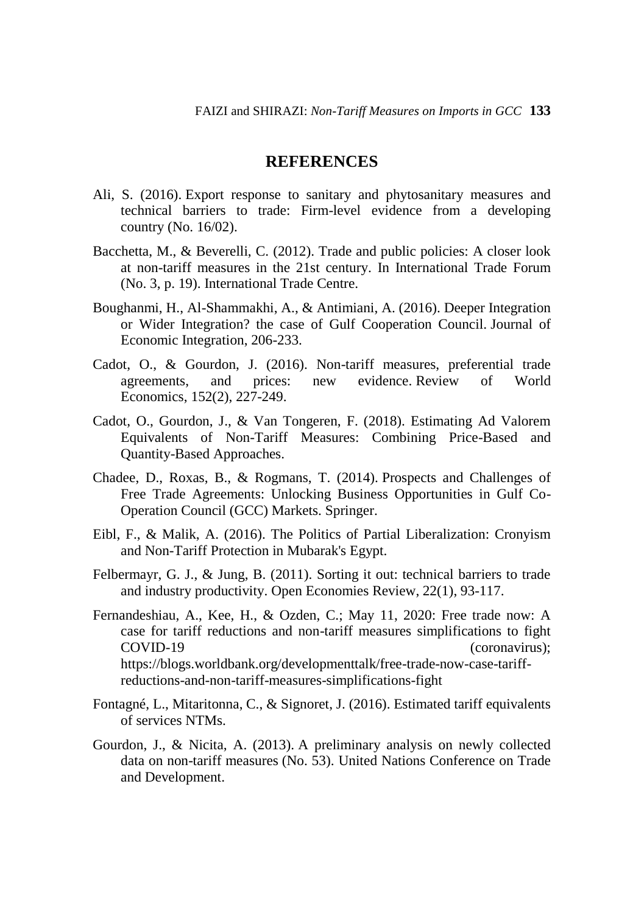### **REFERENCES**

- Ali, S. (2016). Export response to sanitary and phytosanitary measures and technical barriers to trade: Firm-level evidence from a developing country (No. 16/02).
- Bacchetta, M., & Beverelli, C. (2012). Trade and public policies: A closer look at non-tariff measures in the 21st century. In International Trade Forum (No. 3, p. 19). International Trade Centre.
- Boughanmi, H., Al-Shammakhi, A., & Antimiani, A. (2016). Deeper Integration or Wider Integration? the case of Gulf Cooperation Council. Journal of Economic Integration, 206-233.
- Cadot, O., & Gourdon, J. (2016). Non-tariff measures, preferential trade agreements, and prices: new evidence. Review of World Economics, 152(2), 227-249.
- Cadot, O., Gourdon, J., & Van Tongeren, F. (2018). Estimating Ad Valorem Equivalents of Non-Tariff Measures: Combining Price-Based and Quantity-Based Approaches.
- Chadee, D., Roxas, B., & Rogmans, T. (2014). Prospects and Challenges of Free Trade Agreements: Unlocking Business Opportunities in Gulf Co-Operation Council (GCC) Markets. Springer.
- Eibl, F., & Malik, A. (2016). The Politics of Partial Liberalization: Cronyism and Non-Tariff Protection in Mubarak's Egypt.
- Felbermayr, G. J., & Jung, B. (2011). Sorting it out: technical barriers to trade and industry productivity. Open Economies Review, 22(1), 93-117.
- Fernandeshiau, A., Kee, H., & Ozden, C.; May 11, 2020: Free trade now: A case for tariff reductions and non-tariff measures simplifications to fight COVID-19 (coronavirus); https://blogs.worldbank.org/developmenttalk/free-trade-now-case-tariffreductions-and-non-tariff-measures-simplifications-fight
- Fontagné, L., Mitaritonna, C., & Signoret, J. (2016). Estimated tariff equivalents of services NTMs.
- Gourdon, J., & Nicita, A. (2013). A preliminary analysis on newly collected data on non-tariff measures (No. 53). United Nations Conference on Trade and Development.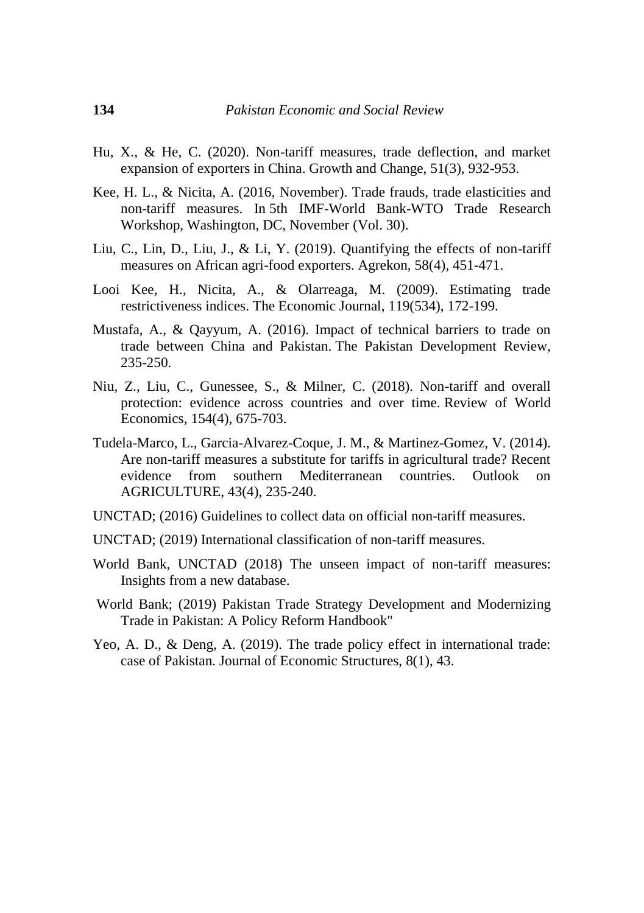- Hu, X., & He, C. (2020). Non-tariff measures, trade deflection, and market expansion of exporters in China. Growth and Change, 51(3), 932-953.
- Kee, H. L., & Nicita, A. (2016, November). Trade frauds, trade elasticities and non-tariff measures. In 5th IMF-World Bank-WTO Trade Research Workshop, Washington, DC, November (Vol. 30).
- Liu, C., Lin, D., Liu, J., & Li, Y. (2019). Quantifying the effects of non-tariff measures on African agri-food exporters. Agrekon, 58(4), 451-471.
- Looi Kee, H., Nicita, A., & Olarreaga, M. (2009). Estimating trade restrictiveness indices. The Economic Journal, 119(534), 172-199.
- Mustafa, A., & Qayyum, A. (2016). Impact of technical barriers to trade on trade between China and Pakistan. The Pakistan Development Review, 235-250.
- Niu, Z., Liu, C., Gunessee, S., & Milner, C. (2018). Non-tariff and overall protection: evidence across countries and over time. Review of World Economics, 154(4), 675-703.
- Tudela-Marco, L., Garcia-Alvarez-Coque, J. M., & Martinez-Gomez, V. (2014). Are non-tariff measures a substitute for tariffs in agricultural trade? Recent evidence from southern Mediterranean countries. Outlook on AGRICULTURE, 43(4), 235-240.
- UNCTAD; (2016) Guidelines to collect data on official non-tariff measures.
- UNCTAD; (2019) International classification of non-tariff measures.
- World Bank, UNCTAD (2018) The unseen impact of non-tariff measures: Insights from a new database.
- World Bank; (2019) Pakistan Trade Strategy Development and Modernizing Trade in Pakistan: A Policy Reform Handbook"
- Yeo, A. D., & Deng, A. (2019). The trade policy effect in international trade: case of Pakistan. Journal of Economic Structures, 8(1), 43.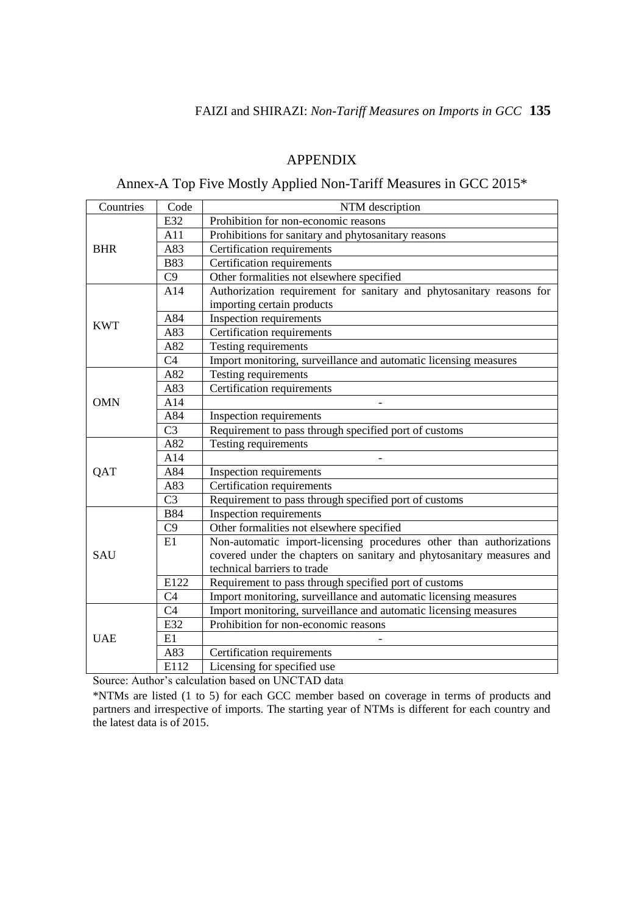#### APPENDIX

## Annex-A Top Five Mostly Applied Non-Tariff Measures in GCC 2015\*

| Countries  | Code            | NTM description                                                       |  |  |  |  |
|------------|-----------------|-----------------------------------------------------------------------|--|--|--|--|
|            | E32             | Prohibition for non-economic reasons                                  |  |  |  |  |
|            | A11             | Prohibitions for sanitary and phytosanitary reasons                   |  |  |  |  |
| <b>BHR</b> | A83             | Certification requirements                                            |  |  |  |  |
|            | <b>B83</b>      | Certification requirements                                            |  |  |  |  |
|            | C9              | Other formalities not elsewhere specified                             |  |  |  |  |
|            | A14             | Authorization requirement for sanitary and phytosanitary reasons for  |  |  |  |  |
|            |                 | importing certain products                                            |  |  |  |  |
| <b>KWT</b> | A84             | Inspection requirements                                               |  |  |  |  |
|            | A83             | Certification requirements                                            |  |  |  |  |
|            | A82             | Testing requirements                                                  |  |  |  |  |
|            | C <sub>4</sub>  | Import monitoring, surveillance and automatic licensing measures      |  |  |  |  |
|            | A82             | Testing requirements                                                  |  |  |  |  |
|            | A83             | Certification requirements                                            |  |  |  |  |
| <b>OMN</b> | A14             | $\frac{1}{2}$                                                         |  |  |  |  |
|            | A84             | Inspection requirements                                               |  |  |  |  |
|            | C <sub>3</sub>  | Requirement to pass through specified port of customs                 |  |  |  |  |
|            | A82             | Testing requirements                                                  |  |  |  |  |
|            | A14             |                                                                       |  |  |  |  |
| <b>OAT</b> | A84             | Inspection requirements                                               |  |  |  |  |
|            | A83             | Certification requirements                                            |  |  |  |  |
|            | $\overline{C}3$ | Requirement to pass through specified port of customs                 |  |  |  |  |
|            | <b>B84</b>      | Inspection requirements                                               |  |  |  |  |
|            | C9              | Other formalities not elsewhere specified                             |  |  |  |  |
|            | E1              | Non-automatic import-licensing procedures other than authorizations   |  |  |  |  |
| SAU        |                 | covered under the chapters on sanitary and phytosanitary measures and |  |  |  |  |
|            |                 | technical barriers to trade                                           |  |  |  |  |
|            | E122            | Requirement to pass through specified port of customs                 |  |  |  |  |
|            | C <sub>4</sub>  | Import monitoring, surveillance and automatic licensing measures      |  |  |  |  |
|            | C <sub>4</sub>  | Import monitoring, surveillance and automatic licensing measures      |  |  |  |  |
|            | E32             | Prohibition for non-economic reasons                                  |  |  |  |  |
| <b>UAE</b> | E1              |                                                                       |  |  |  |  |
|            | A83             | Certification requirements                                            |  |  |  |  |
|            | E112            | Licensing for specified use                                           |  |  |  |  |

Source: Author's calculation based on UNCTAD data

\*NTMs are listed (1 to 5) for each GCC member based on coverage in terms of products and partners and irrespective of imports. The starting year of NTMs is different for each country and the latest data is of 2015.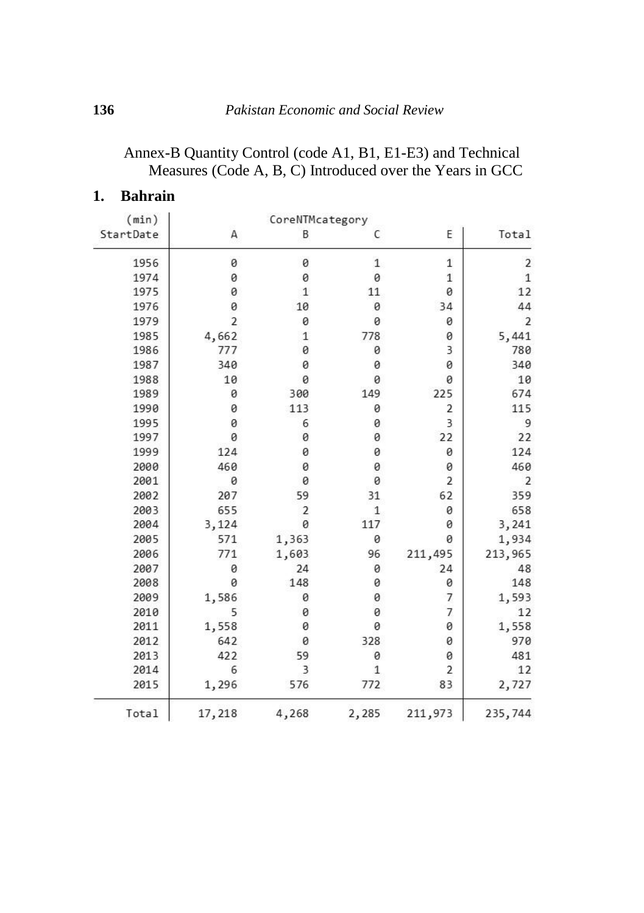# Annex-B Quantity Control (code A1, B1, E1-E3) and Technical Measures (Code A, B, C) Introduced over the Years in GCC

## **1. Bahrain**

 $\sim$ 

|                |                |              | CoreNTMcategory |                | (min)     |  |  |  |  |
|----------------|----------------|--------------|-----------------|----------------|-----------|--|--|--|--|
| Total          | E              | C            | B               | Α              | StartDate |  |  |  |  |
| 2              | $\mathbf{1}$   | $\mathbf{1}$ | 0               | 0              | 1956      |  |  |  |  |
| $1\,$          | $\,1$          | 0            | 0               | 0              | 1974      |  |  |  |  |
| 12             | 0              | 11           | 1               | 0              | 1975      |  |  |  |  |
| 44             | 34             | 0            | 10              | 0              | 1976      |  |  |  |  |
| $\overline{2}$ | 0              | 0            | 0               | $\overline{2}$ | 1979      |  |  |  |  |
| 5,441          | 0              | 778          | $\mathbf{1}$    | 4,662          | 1985      |  |  |  |  |
| 780            | 3              | 0            | 0               | 777            | 1986      |  |  |  |  |
| 340            | 0              | 0            | 0               | 340            | 1987      |  |  |  |  |
| 10             | 0              | 0            | 0               | 10             | 1988      |  |  |  |  |
| 674            | 225            | 149          | 300             | 0              | 1989      |  |  |  |  |
| 115            | 2              | 0            | 113             | 0              | 1990      |  |  |  |  |
| 9              | 3              | 0            | 6               | 0              | 1995      |  |  |  |  |
| 22             | 22             | 0            | 0               | 0              | 1997      |  |  |  |  |
| 124            | 0              | 0            | 0               | 124            | 1999      |  |  |  |  |
| 460            | 0              | 0            | 0               | 460            | 2000      |  |  |  |  |
| $\overline{2}$ | $\overline{2}$ | 0            | 0               | 0              | 2001      |  |  |  |  |
| 359            | 62             | 31           | 59              | 207            | 2002      |  |  |  |  |
| 658            | 0              | $1\,$        | 2               | 655            | 2003      |  |  |  |  |
| 3,241          | 0              | 117          | 0               | 3,124          | 2004      |  |  |  |  |
| 1,934          | 0              | 0            | 1,363           | 571            | 2005      |  |  |  |  |
| 213,965        | 211,495        | 96           | 1,603           | 771            | 2006      |  |  |  |  |
| 48             | 24             | 0            | 24              | 0              | 2007      |  |  |  |  |
| 148            | 0              | 0            | 148             | 0              | 2008      |  |  |  |  |
| 1,593          | 7              | 0            | 0               | 1,586          | 2009      |  |  |  |  |
| 12             | 7              | 0            | 0               | 5              | 2010      |  |  |  |  |
| 1,558          | 0              | 0            | 0               | 1,558          | 2011      |  |  |  |  |
| 970            | 0              | 328          | 0               | 642            | 2012      |  |  |  |  |
| 481            | 0              | 0            | 59              | 422            | 2013      |  |  |  |  |
| 12             | $\overline{2}$ | $\mathbf{1}$ | 3               | 6              | 2014      |  |  |  |  |
| 2,727          | 83             | 772          | 576             | 1,296          | 2015      |  |  |  |  |
| 235,744        | 211,973        | 2,285        | 4,268           | 17,218         | Total     |  |  |  |  |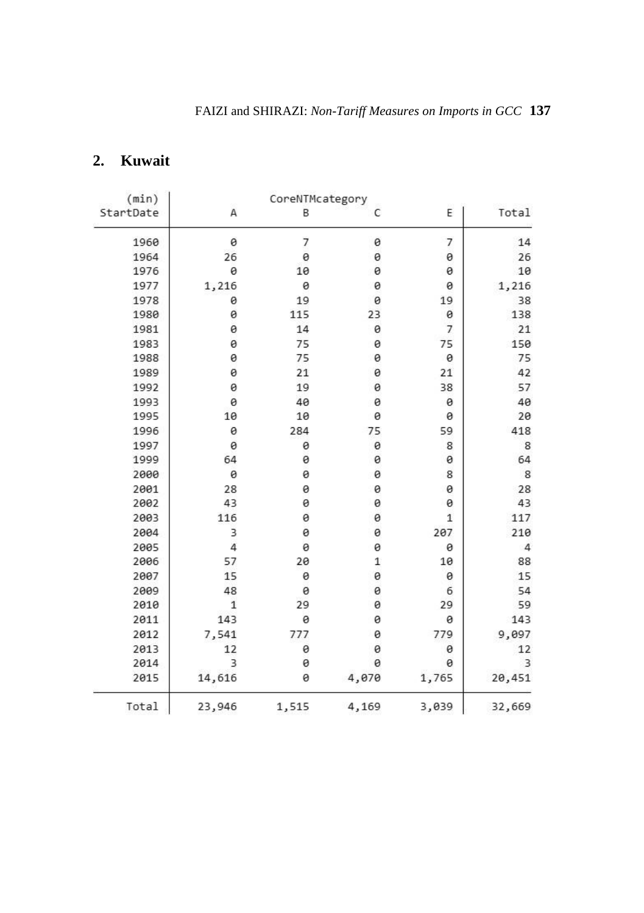# **2. Kuwait**

|                |              |       | CoreNTMcategory |              | (min)     |  |  |  |  |
|----------------|--------------|-------|-----------------|--------------|-----------|--|--|--|--|
| Total          | E            | C     | B               | Α            | StartDate |  |  |  |  |
| 14             | 7            | 0     | 7               | 0            | 1960      |  |  |  |  |
| 26             | 0            | 0     | 0               | 26           | 1964      |  |  |  |  |
| 10             | 0            | 0     | 10              | 0            | 1976      |  |  |  |  |
| 1,216          | 0            | 0     | 0               | 1,216        | 1977      |  |  |  |  |
| 38             | 19           | 0     | 19              | 0            | 1978      |  |  |  |  |
| 138            | 0            | 23    | 115             | 0            | 1980      |  |  |  |  |
| 21             | 7            | 0     | 14              | 0            | 1981      |  |  |  |  |
| 150            | 75           | 0     | 75              | 0            | 1983      |  |  |  |  |
| 75             | 0            | 0     | 75              | 0            | 1988      |  |  |  |  |
| 42             | 21           | 0     | 21              | Θ            | 1989      |  |  |  |  |
| 57             | 38           | 0     | 19              | 0            | 1992      |  |  |  |  |
| 40             | 0            | 0     | 40              | 0            | 1993      |  |  |  |  |
| 20             | 0            | 0     | 10              | 10           | 1995      |  |  |  |  |
| 418            | 59           | 75    | 284             | 0            | 1996      |  |  |  |  |
| 8              | 8            | 0     | 0               | 0            | 1997      |  |  |  |  |
| 64             | 0            | 0     | Θ               | 64           | 1999      |  |  |  |  |
| 8              | 8            | 0     | Θ               | 0            | 2000      |  |  |  |  |
| 28             | 0            | 0     | 0               | 28           | 2001      |  |  |  |  |
| 43             | 0            | 0     | 0               | 43           | 2002      |  |  |  |  |
| 117            | $\mathbf{1}$ | 0     | 0               | 116          | 2003      |  |  |  |  |
| 210            | 207          | 0     | 0               | 3            | 2004      |  |  |  |  |
| $\overline{4}$ | 0            | 0     | 0               | 4            | 2005      |  |  |  |  |
| 88             | 10           | 1     | 20              | 57           | 2006      |  |  |  |  |
| 15             | 0            | 0     | 0               | 15           | 2007      |  |  |  |  |
| 54             | 6            | 0     | 0               | 48           | 2009      |  |  |  |  |
| 59             | 29           | 0     | 29              | $\mathbf{1}$ | 2010      |  |  |  |  |
| 143            | 0            | 0     | 0               | 143          | 2011      |  |  |  |  |
| 9,097          | 779          | 0     | 777             | 7,541        | 2012      |  |  |  |  |
| 12             | 0            | 0     | 0               | 12           | 2013      |  |  |  |  |
| 3              | 0            | 0     | Θ               | 3            | 2014      |  |  |  |  |
| 20,451         | 1,765        | 4,070 | Θ               | 14,616       | 2015      |  |  |  |  |
| 32,669         | 3,039        | 4,169 | 1,515           | 23,946       | Total     |  |  |  |  |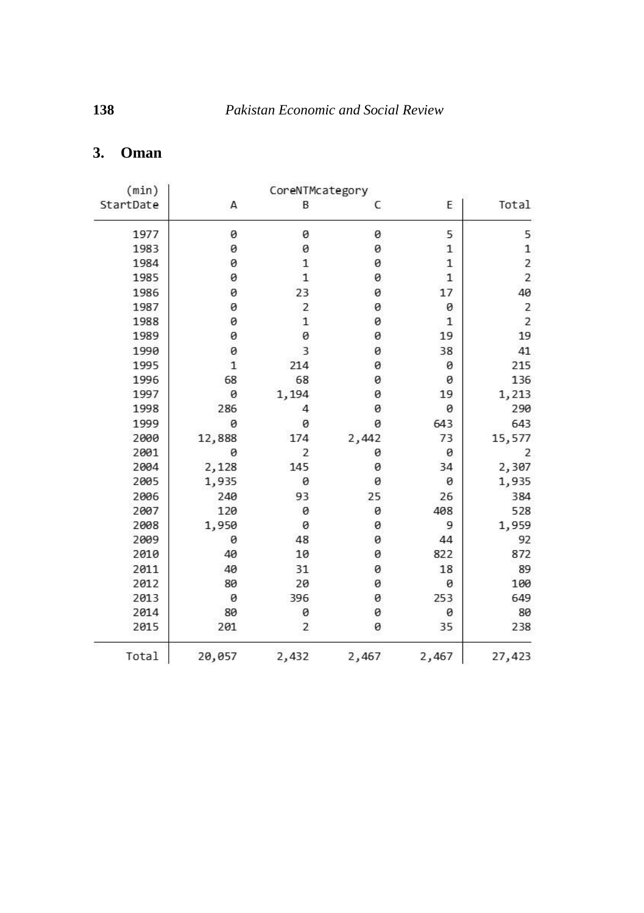# **3. Oman**

|                         |              |       | CoreNTMcategory |              | (min)     |
|-------------------------|--------------|-------|-----------------|--------------|-----------|
| Total                   | E            | C     | B               | А            | StartDate |
| 5                       | 5            | 0     | 0               | 0            | 1977      |
| $\mathbf 1$             | $\mathbf{1}$ | 0     | 0               | 0            | 1983      |
| $\overline{\mathbf{c}}$ | $\mathbf{1}$ | 0     | 1               | 0            | 1984      |
| $\overline{2}$          | 1            | 0     | $\mathbf{1}$    | 0            | 1985      |
| 40                      | 17           | 0     | 23              | 0            | 1986      |
| 2                       | 0            | 0     | 2               | 0            | 1987      |
| $\overline{2}$          | $\mathbf{1}$ | 0     | $\mathbf{1}$    | 0            | 1988      |
| 19                      | 19           | 0     | 0               | 0            | 1989      |
| 41                      | 38           | 0     | 3               | 0            | 1990      |
| 215                     | 0            | 0     | 214             | $\mathbf{1}$ | 1995      |
| 136                     | 0            | 0     | 68              | 68           | 1996      |
| 1,213                   | 19           | 0     | 1,194           | 0            | 1997      |
| 290                     | 0            | 0     | 4               | 286          | 1998      |
| 643                     | 643          | 0     | 0               | 0            | 1999      |
| 15,577                  | 73           | 2,442 | 174             | 12,888       | 2000      |
| 2                       | 0            | 0     | 2               | 0            | 2001      |
| 2,307                   | 34           | 0     | 145             | 2,128        | 2004      |
| 1,935                   | 0            | 0     | 0               | 1,935        | 2005      |
| 384                     | 26           | 25    | 93              | 240          | 2006      |
| 528                     | 408          | 0     | 0               | 120          | 2007      |
| 1,959                   | 9            | 0     | 0               | 1,950        | 2008      |
| 92                      | 44           | 0     | 48              | 0            | 2009      |
| 872                     | 822          | 0     | 10              | 40           | 2010      |
| 89                      | 18           | 0     | 31              | 40           | 2011      |
| 100                     | 0            | 0     | 20              | 80           | 2012      |
| 649                     | 253          | 0     | 396             | 0            | 2013      |
| 80                      | 0            | 0     | 0               | 80           | 2014      |
| 238                     | 35           | 0     | $\overline{2}$  | 201          | 2015      |
| 27,423                  | 2,467        | 2,467 | 2,432           | 20,057       | Total     |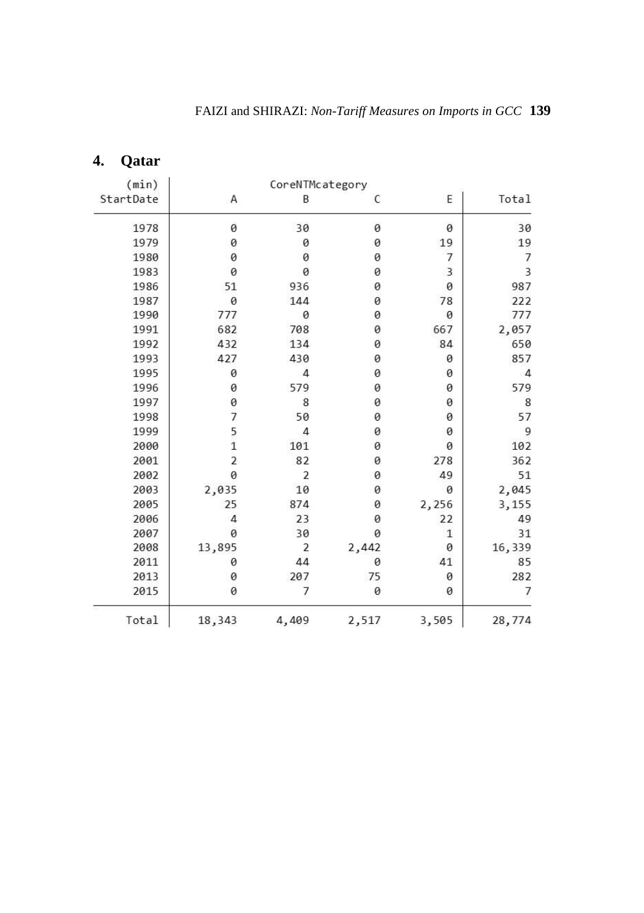| (min)     |                | CoreNTMcategory |       |              |                |
|-----------|----------------|-----------------|-------|--------------|----------------|
| StartDate | Α              | B               | C     | E            | Total          |
| 1978      | 0              | 30              | 0     | 0            | 30             |
| 1979      | 0              | 0               | 0     | 19           | 19             |
| 1980      | 0              | 0               | 0     | 7            | 7              |
| 1983      | 0              | 0               | 0     | 3            | 3              |
| 1986      | 51             | 936             | 0     | 0            | 987            |
| 1987      | 0              | 144             | 0     | 78           | 222            |
| 1990      | 777            | 0               | 0     | 0            | 777            |
| 1991      | 682            | 708             | 0     | 667          | 2,057          |
| 1992      | 432            | 134             | 0     | 84           | 650            |
| 1993      | 427            | 430             | 0     | 0            | 857            |
| 1995      | 0              | $\overline{4}$  | 0     | 0            | $\overline{4}$ |
| 1996      | 0              | 579             | 0     | 0            | 579            |
| 1997      | 0              | 8               | 0     | 0            | 8              |
| 1998      | $\overline{7}$ | 50              | 0     | 0            | 57             |
| 1999      | 5              | 4               | 0     | 0            | 9              |
| 2000      | $\overline{1}$ | 101             | 0     | 0            | 102            |
| 2001      | $\overline{a}$ | 82              | 0     | 278          | 362            |
| 2002      | 0              | 2               | 0     | 49           | 51             |
| 2003      | 2,035          | 10              | 0     | 0            | 2,045          |
| 2005      | 25             | 874             | 0     | 2,256        | 3,155          |
| 2006      | $\overline{4}$ | 23              | 0     | 22           | 49             |
| 2007      | 0              | 30              | 0     | $\mathbf{1}$ | 31             |
| 2008      | 13,895         | 2               | 2,442 | 0            | 16,339         |
| 2011      | 0              | 44              | 0     | 41           | 85             |
| 2013      | 0              | 207             | 75    | 0            | 282            |
| 2015      | 0              | 7               | 0     | 0            | 7              |
| Total     | 18,343         | 4,409           | 2,517 | 3,505        | 28,774         |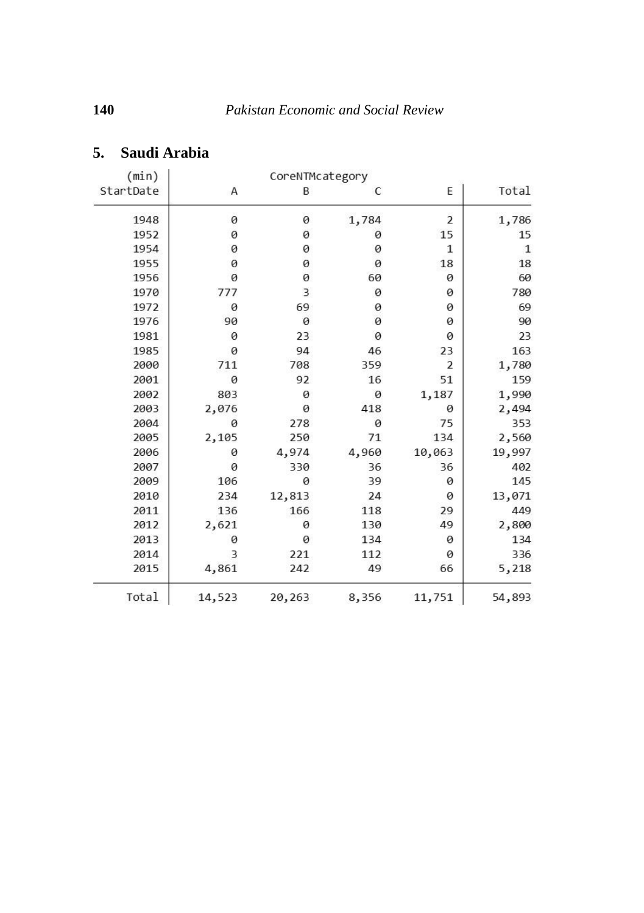|              |                |       | (min)<br>CoreNTMcategory |        |           |  |  |  |
|--------------|----------------|-------|--------------------------|--------|-----------|--|--|--|
| Total        | E              | C     | B                        | Α      | StartDate |  |  |  |
| 1,786        | 2              | 1,784 | 0                        | 0      | 1948      |  |  |  |
| 15           | 15             | 0     | 0                        | 0      | 1952      |  |  |  |
| $\mathbf{1}$ | 1              | 0     | 0                        | 0      | 1954      |  |  |  |
| 18           | 18             | 0     | 0                        | 0      | 1955      |  |  |  |
| 60           | 0              | 60    | 0                        | 0      | 1956      |  |  |  |
| 780          | 0              | 0     | 3                        | 777    | 1970      |  |  |  |
| 69           | 0              | 0     | 69                       | 0      | 1972      |  |  |  |
| 90           | 0              | 0     | 0                        | 90     | 1976      |  |  |  |
| 23           | 0              | 0     | 23                       | 0      | 1981      |  |  |  |
| 163          | 23             | 46    | 94                       | 0      | 1985      |  |  |  |
| 1,780        | $\overline{2}$ | 359   | 708                      | 711    | 2000      |  |  |  |
| 159          | 51             | 16    | 92                       | 0      | 2001      |  |  |  |
| 1,990        | 1,187          | 0     | 0                        | 803    | 2002      |  |  |  |
| 2,494        | 0              | 418   | 0                        | 2,076  | 2003      |  |  |  |
| 353          | 75             | 0     | 278                      | 0      | 2004      |  |  |  |
| 2,560        | 134            | 71    | 250                      | 2,105  | 2005      |  |  |  |
| 19,997       | 10,063         | 4,960 | 4,974                    | 0      | 2006      |  |  |  |
| 402          | 36             | 36    | 330                      | 0      | 2007      |  |  |  |
| 145          | 0              | 39    | 0                        | 106    | 2009      |  |  |  |
| 13,071       | 0              | 24    | 12,813                   | 234    | 2010      |  |  |  |
| 449          | 29             | 118   | 166                      | 136    | 2011      |  |  |  |
| 2,800        | 49             | 130   | 0                        | 2,621  | 2012      |  |  |  |
| 134          | 0              | 134   | 0                        | 0      | 2013      |  |  |  |
| 336          | 0              | 112   | 221                      | 3      | 2014      |  |  |  |
| 5,218        | 66             | 49    | 242                      | 4,861  | 2015      |  |  |  |
| 54,893       | 11,751         | 8,356 | 20,263                   | 14,523 | Total     |  |  |  |

# **5. Saudi Arabia**